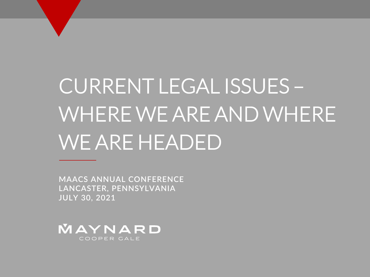# CURRENT LEGAL ISSUES – WHERE WE ARE AND WHERE WE ARE HEADED

**MAACS ANNUAL CONFERENCE LANCASTER, PENNSYLVANIA JULY 30, 2021**

MAYNARD COOPER GALE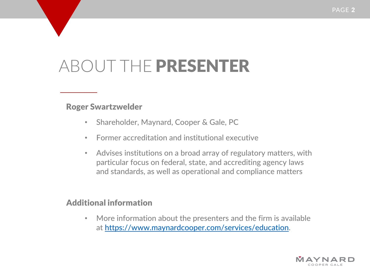# ABOUT THE PRESENTER

#### Roger Swartzwelder

- Shareholder, Maynard, Cooper & Gale, PC
- Former accreditation and institutional executive
- Advises institutions on a broad array of regulatory matters, with particular focus on federal, state, and accrediting agency laws and standards, as well as operational and compliance matters

#### Additional information

• More information about the presenters and the firm is available at [https://www.maynardcooper.com/services/education.](https://www.maynardcooper.com/services/education)

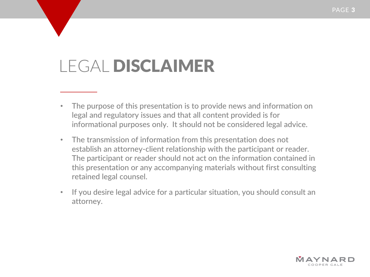# LEGAL DISCLAIMER

- The purpose of this presentation is to provide news and information on legal and regulatory issues and that all content provided is for informational purposes only. It should not be considered legal advice.
- The transmission of information from this presentation does not establish an attorney-client relationship with the participant or reader. The participant or reader should not act on the information contained in this presentation or any accompanying materials without first consulting retained legal counsel.
- If you desire legal advice for a particular situation, you should consult an attorney.

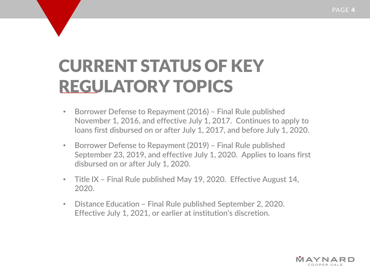# CURRENT STATUS OF KEY REGULATORY TOPICS

- Borrower Defense to Repayment (2016) Final Rule published November 1, 2016, and effective July 1, 2017. Continues to apply to loans first disbursed on or after July 1, 2017, and before July 1, 2020.
- Borrower Defense to Repayment (2019) Final Rule published September 23, 2019, and effective July 1, 2020. Applies to loans first disbursed on or after July 1, 2020.
- Title IX Final Rule published May 19, 2020. Effective August 14, 2020.
- Distance Education Final Rule published September 2, 2020. Effective July 1, 2021, or earlier at institution's discretion.

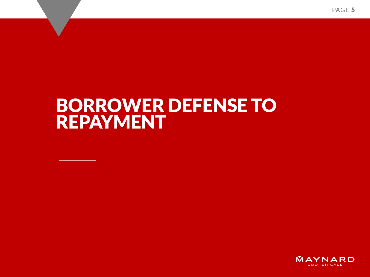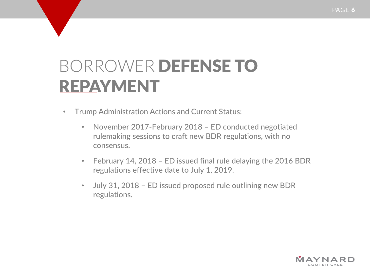- Trump Administration Actions and Current Status:
	- November 2017-February 2018 ED conducted negotiated rulemaking sessions to craft new BDR regulations, with no consensus.
	- February 14, 2018 ED issued final rule delaying the 2016 BDR regulations effective date to July 1, 2019.
	- July 31, 2018 ED issued proposed rule outlining new BDR regulations.

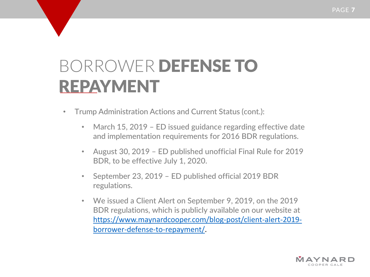- Trump Administration Actions and Current Status (cont.):
	- March 15, 2019 ED issued guidance regarding effective date and implementation requirements for 2016 BDR regulations.
	- August 30, 2019 ED published unofficial Final Rule for 2019 BDR, to be effective July 1, 2020.
	- September 23, 2019 ED published official 2019 BDR regulations.
	- We issued a Client Alert on September 9, 2019, on the 2019 BDR regulations, which is publicly available on our website at [https://www.maynardcooper.com/blog-post/client-alert-2019](https://www.maynardcooper.com/blog-post/client-alert-2019-borrower-defense-to-repayment/) borrower-defense-to-repayment/.

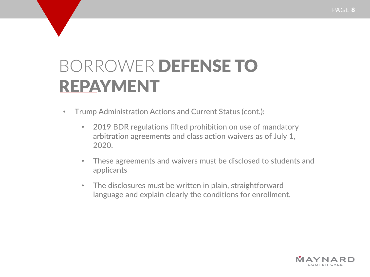- Trump Administration Actions and Current Status (cont.):
	- 2019 BDR regulations lifted prohibition on use of mandatory arbitration agreements and class action waivers as of July 1, 2020.
	- These agreements and waivers must be disclosed to students and applicants
	- The disclosures must be written in plain, straightforward language and explain clearly the conditions for enrollment.

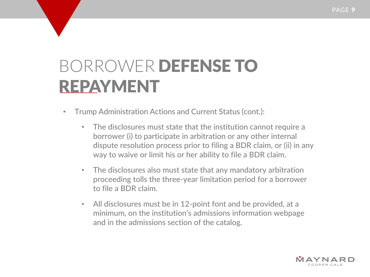- Trump Administration Actions and Current Status (cont.):
	- The disclosures must state that the institution cannot require a borrower (i) to participate in arbitration or any other internal dispute resolution process prior to filing a BDR claim, or (ii) in any way to waive or limit his or her ability to file a BDR claim.
	- The disclosures also must state that any mandatory arbitration proceeding tolls the three-year limitation period for a borrower to file a BDR claim.
	- All disclosures must be in 12-point font and be provided, at a minimum, on the institution's admissions information webpage and in the admissions section of the catalog.

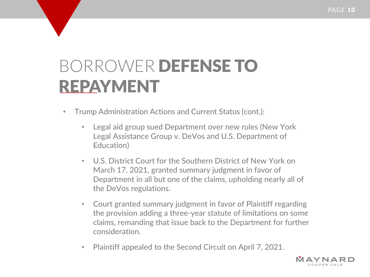- Trump Administration Actions and Current Status (cont.):
	- Legal aid group sued Department over new rules (New York Legal Assistance Group v. DeVos and U.S. Department of Education)
	- U.S. District Court for the Southern District of New York on March 17, 2021, granted summary judgment in favor of Department in all but one of the claims, upholding nearly all of the DeVos regulations.
	- Court granted summary judgment in favor of Plaintiff regarding the provision adding a three-year statute of limitations on some claims, remanding that issue back to the Department for further consideration.
	- Plaintiff appealed to the Second Circuit on April 7, 2021.

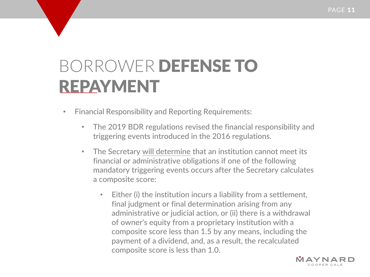- Financial Responsibility and Reporting Requirements:
	- The 2019 BDR regulations revised the financial responsibility and triggering events introduced in the 2016 regulations.
	- The Secretary will determine that an institution cannot meet its financial or administrative obligations if one of the following mandatory triggering events occurs after the Secretary calculates a composite score:
		- Either (i) the institution incurs a liability from a settlement, final judgment or final determination arising from any administrative or judicial action, or (ii) there is a withdrawal of owner's equity from a proprietary institution with a composite score less than 1.5 by any means, including the payment of a dividend, and, as a result, the recalculated composite score is less than 1.0.

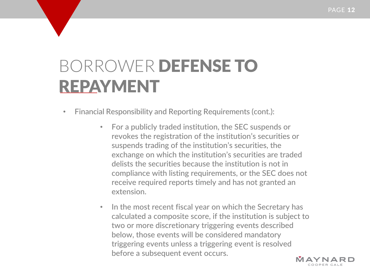- Financial Responsibility and Reporting Requirements (cont.):
	- For a publicly traded institution, the SEC suspends or revokes the registration of the institution's securities or suspends trading of the institution's securities, the exchange on which the institution's securities are traded delists the securities because the institution is not in compliance with listing requirements, or the SEC does not receive required reports timely and has not granted an extension.
	- In the most recent fiscal year on which the Secretary has calculated a composite score, if the institution is subject to two or more discretionary triggering events described below, those events will be considered mandatory triggering events unless a triggering event is resolved before a subsequent event occurs.

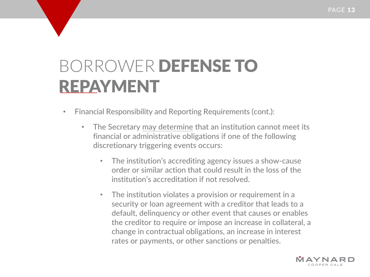- Financial Responsibility and Reporting Requirements (cont.):
	- The Secretary may determine that an institution cannot meet its financial or administrative obligations if one of the following discretionary triggering events occurs:
		- The institution's accrediting agency issues a show-cause order or similar action that could result in the loss of the institution's accreditation if not resolved.
		- The institution violates a provision or requirement in a security or loan agreement with a creditor that leads to a default, delinquency or other event that causes or enables the creditor to require or impose an increase in collateral, a change in contractual obligations, an increase in interest rates or payments, or other sanctions or penalties.

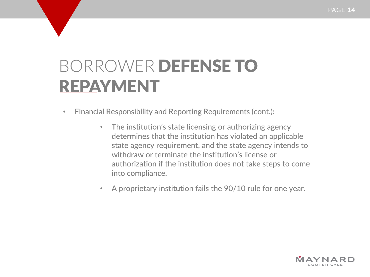- Financial Responsibility and Reporting Requirements (cont.):
	- The institution's state licensing or authorizing agency determines that the institution has violated an applicable state agency requirement, and the state agency intends to withdraw or terminate the institution's license or authorization if the institution does not take steps to come into compliance.
	- A proprietary institution fails the 90/10 rule for one year.

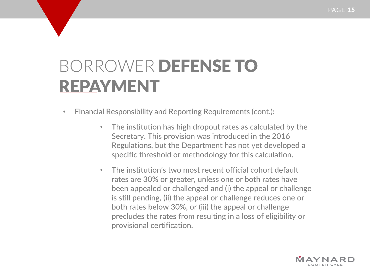- Financial Responsibility and Reporting Requirements (cont.):
	- The institution has high dropout rates as calculated by the Secretary. This provision was introduced in the 2016 Regulations, but the Department has not yet developed a specific threshold or methodology for this calculation.
	- The institution's two most recent official cohort default rates are 30% or greater, unless one or both rates have been appealed or challenged and (i) the appeal or challenge is still pending, (ii) the appeal or challenge reduces one or both rates below 30%, or (iii) the appeal or challenge precludes the rates from resulting in a loss of eligibility or provisional certification.

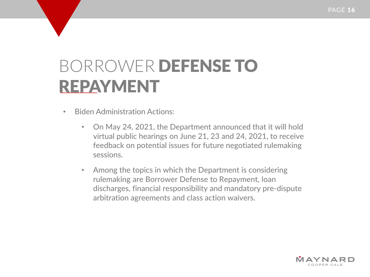- Biden Administration Actions:
	- On May 24, 2021, the Department announced that it will hold virtual public hearings on June 21, 23 and 24, 2021, to receive feedback on potential issues for future negotiated rulemaking sessions.
	- Among the topics in which the Department is considering rulemaking are Borrower Defense to Repayment, loan discharges, financial responsibility and mandatory pre-dispute arbitration agreements and class action waivers.

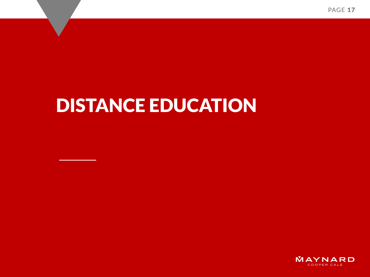PAGE 17

# DISTANCE EDUCATION

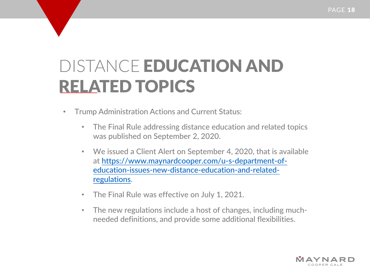- Trump Administration Actions and Current Status:
	- The Final Rule addressing distance education and related topics was published on September 2, 2020.
	- We issued a Client Alert on September 4, 2020, that is available at https://www.maynardcooper.com/u-s-department-of[education-issues-new-distance-education-and-related](https://www.maynardcooper.com/u-s-department-of-education-issues-new-distance-education-and-related-regulations)regulations.
	- The Final Rule was effective on July 1, 2021.
	- The new regulations include a host of changes, including muchneeded definitions, and provide some additional flexibilities.

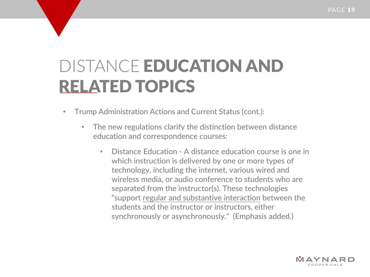- Trump Administration Actions and Current Status (cont.):
	- The new regulations clarify the distinction between distance education and correspondence courses:
		- Distance Education A distance education course is one in which instruction is delivered by one or more types of technology, including the internet, various wired and wireless media, or audio conference to students who are separated from the instructor(s). These technologies "support regular and substantive interaction between the students and the instructor or instructors, either synchronously or asynchronously." (Emphasis added.)

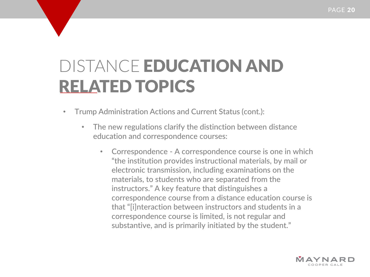- Trump Administration Actions and Current Status (cont.):
	- The new regulations clarify the distinction between distance education and correspondence courses:
		- Correspondence A correspondence course is one in which "the institution provides instructional materials, by mail or electronic transmission, including examinations on the materials, to students who are separated from the instructors." A key feature that distinguishes a correspondence course from a distance education course is that "[i]nteraction between instructors and students in a correspondence course is limited, is not regular and substantive, and is primarily initiated by the student."

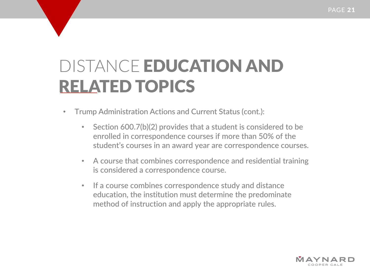- Trump Administration Actions and Current Status (cont.):
	- Section 600.7(b)(2) provides that a student is considered to be enrolled in correspondence courses if more than 50% of the student's courses in an award year are correspondence courses.
	- A course that combines correspondence and residential training is considered a correspondence course.
	- If a course combines correspondence study and distance education, the institution must determine the predominate method of instruction and apply the appropriate rules.

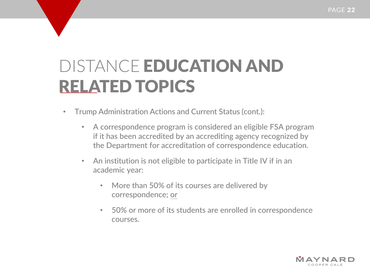- Trump Administration Actions and Current Status (cont.):
	- A correspondence program is considered an eligible FSA program if it has been accredited by an accrediting agency recognized by the Department for accreditation of correspondence education.
	- An institution is not eligible to participate in Title IV if in an academic year:
		- More than 50% of its courses are delivered by correspondence; or
		- 50% or more of its students are enrolled in correspondence courses.

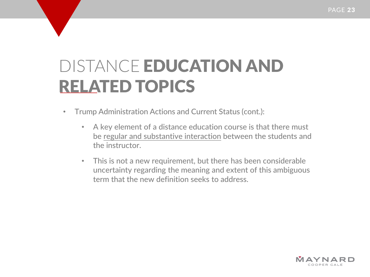- Trump Administration Actions and Current Status (cont.):
	- A key element of a distance education course is that there must be regular and substantive interaction between the students and the instructor.
	- This is not a new requirement, but there has been considerable uncertainty regarding the meaning and extent of this ambiguous term that the new definition seeks to address.

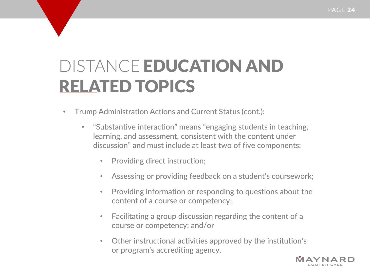- Trump Administration Actions and Current Status (cont.):
	- "Substantive interaction" means "engaging students in teaching, learning, and assessment, consistent with the content under discussion" and must include at least two of five components:
		- Providing direct instruction;
		- Assessing or providing feedback on a student's coursework;
		- Providing information or responding to questions about the content of a course or competency;
		- Facilitating a group discussion regarding the content of a course or competency; and/or
		- Other instructional activities approved by the institution's or program's accrediting agency.

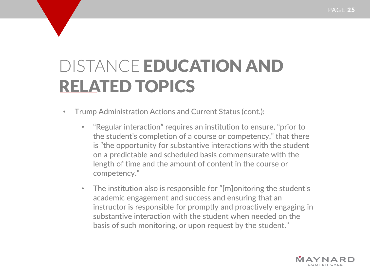- Trump Administration Actions and Current Status (cont.):
	- "Regular interaction" requires an institution to ensure, "prior to the student's completion of a course or competency," that there is "the opportunity for substantive interactions with the student on a predictable and scheduled basis commensurate with the length of time and the amount of content in the course or competency."
	- The institution also is responsible for "[m]onitoring the student's academic engagement and success and ensuring that an instructor is responsible for promptly and proactively engaging in substantive interaction with the student when needed on the basis of such monitoring, or upon request by the student."

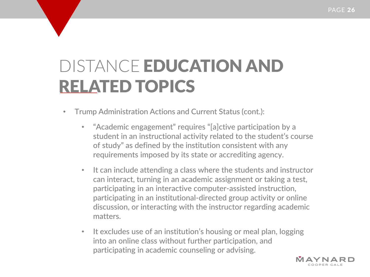- Trump Administration Actions and Current Status (cont.):
	- "Academic engagement" requires "[a]ctive participation by a student in an instructional activity related to the student's course of study" as defined by the institution consistent with any requirements imposed by its state or accrediting agency.
	- It can include attending a class where the students and instructor can interact, turning in an academic assignment or taking a test, participating in an interactive computer-assisted instruction, participating in an institutional-directed group activity or online discussion, or interacting with the instructor regarding academic matters.
	- It excludes use of an institution's housing or meal plan, logging into an online class without further participation, and participating in academic counseling or advising.

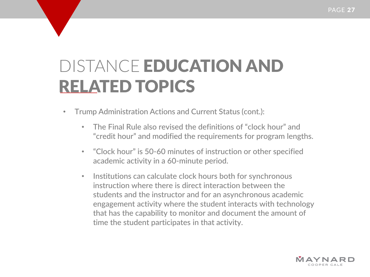- Trump Administration Actions and Current Status (cont.):
	- The Final Rule also revised the definitions of "clock hour" and "credit hour" and modified the requirements for program lengths.
	- "Clock hour" is 50-60 minutes of instruction or other specified academic activity in a 60-minute period.
	- Institutions can calculate clock hours both for synchronous instruction where there is direct interaction between the students and the instructor and for an asynchronous academic engagement activity where the student interacts with technology that has the capability to monitor and document the amount of time the student participates in that activity.

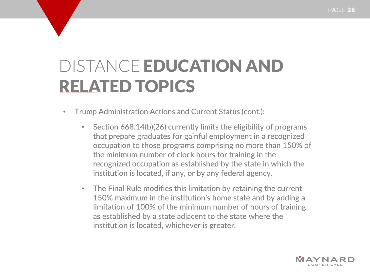- Trump Administration Actions and Current Status (cont.):
	- Section 668.14(b)(26) currently limits the eligibility of programs that prepare graduates for gainful employment in a recognized occupation to those programs comprising no more than 150% of the minimum number of clock hours for training in the recognized occupation as established by the state in which the institution is located, if any, or by any federal agency.
	- The Final Rule modifies this limitation by retaining the current 150% maximum in the institution's home state and by adding a limitation of 100% of the minimum number of hours of training as established by a state adjacent to the state where the institution is located, whichever is greater.

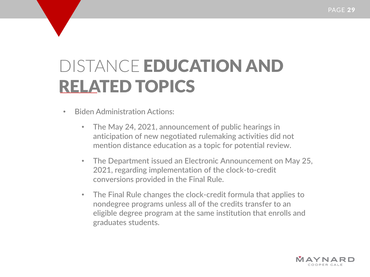- Biden Administration Actions:
	- The May 24, 2021, announcement of public hearings in anticipation of new negotiated rulemaking activities did not mention distance education as a topic for potential review.
	- The Department issued an Electronic Announcement on May 25, 2021, regarding implementation of the clock-to-credit conversions provided in the Final Rule.
	- The Final Rule changes the clock-credit formula that applies to nondegree programs unless all of the credits transfer to an eligible degree program at the same institution that enrolls and graduates students.

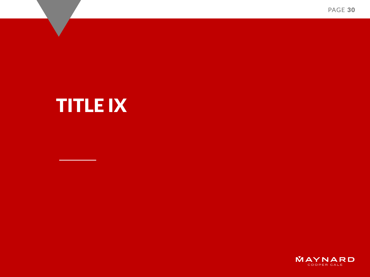PAGE 30

# TITLE IX

MAYNARD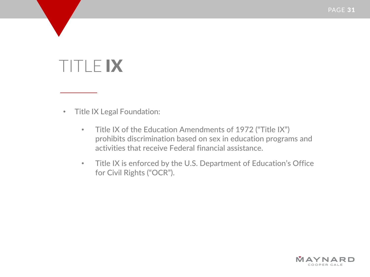- Title IX Legal Foundation:
	- Title IX of the Education Amendments of 1972 ("Title IX") prohibits discrimination based on sex in education programs and activities that receive Federal financial assistance.
	- Title IX is enforced by the U.S. Department of Education's Office for Civil Rights ("OCR").

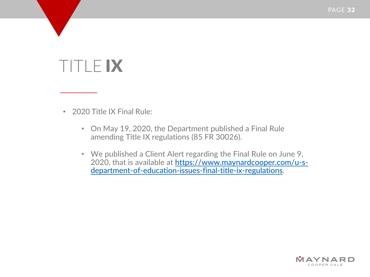• 2020 Title IX Final Rule:

- On May 19, 2020, the Department published a Final Rule amending Title IX regulations (85 FR 30026).
- We published a Client Alert regarding the Final Rule on June 9, [2020, that is available at https://www.maynardcooper.com/u-s](https://www.maynardcooper.com/u-s-department-of-education-issues-final-title-ix-regulations)department-of-education-issues-final-title-ix-regulations.

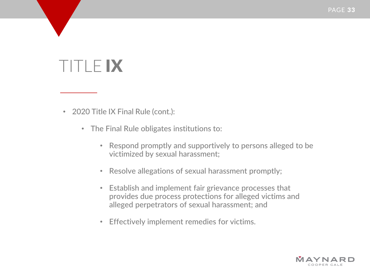- 2020 Title IX Final Rule (cont.):
	- The Final Rule obligates institutions to:
		- Respond promptly and supportively to persons alleged to be victimized by sexual harassment;
		- Resolve allegations of sexual harassment promptly;
		- Establish and implement fair grievance processes that provides due process protections for alleged victims and alleged perpetrators of sexual harassment; and
		- Effectively implement remedies for victims.

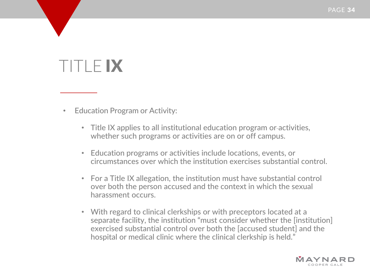- Education Program or Activity:
	- Title IX applies to all institutional education program or-activities, whether such programs or activities are on or off campus.
	- Education programs or activities include locations, events, or circumstances over which the institution exercises substantial control.
	- For a Title IX allegation, the institution must have substantial control over both the person accused and the context in which the sexual harassment occurs.
	- With regard to clinical clerkships or with preceptors located at a separate facility, the institution "must consider whether the [institution] exercised substantial control over both the [accused student] and the hospital or medical clinic where the clinical clerkship is held."

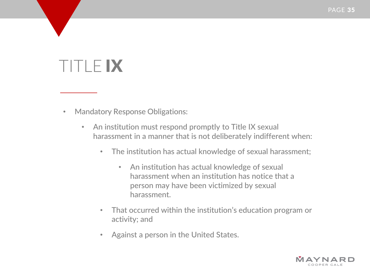- Mandatory Response Obligations:
	- An institution must respond promptly to Title IX sexual harassment in a manner that is not deliberately indifferent when:
		- The institution has actual knowledge of sexual harassment;
			- An institution has actual knowledge of sexual harassment when an institution has notice that a person may have been victimized by sexual harassment.
		- That occurred within the institution's education program or activity; and
		- Against a person in the United States.

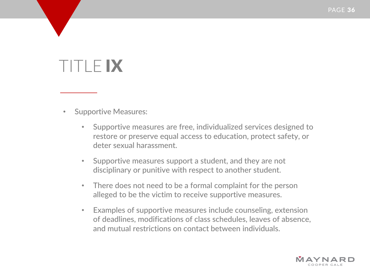- Supportive Measures:
	- Supportive measures are free, individualized services designed to restore or preserve equal access to education, protect safety, or deter sexual harassment.
	- Supportive measures support a student, and they are not disciplinary or punitive with respect to another student.
	- There does not need to be a formal complaint for the person alleged to be the victim to receive supportive measures.
	- Examples of supportive measures include counseling, extension of deadlines, modifications of class schedules, leaves of absence, and mutual restrictions on contact between individuals.

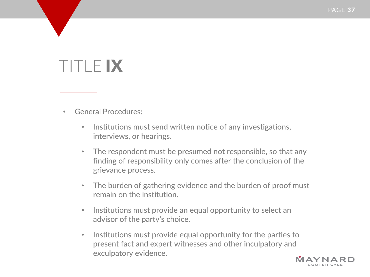- General Procedures:
	- Institutions must send written notice of any investigations, interviews, or hearings.
	- The respondent must be presumed not responsible, so that any finding of responsibility only comes after the conclusion of the grievance process.
	- The burden of gathering evidence and the burden of proof must remain on the institution.
	- Institutions must provide an equal opportunity to select an advisor of the party's choice.
	- Institutions must provide equal opportunity for the parties to present fact and expert witnesses and other inculpatory and exculpatory evidence.

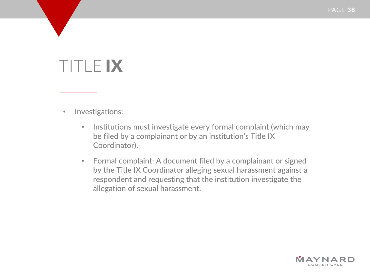- Investigations:
	- Institutions must investigate every formal complaint (which may be filed by a complainant or by an institution's Title IX Coordinator).
	- Formal complaint: A document filed by a complainant or signed by the Title IX Coordinator alleging sexual harassment against a respondent and requesting that the institution investigate the allegation of sexual harassment.

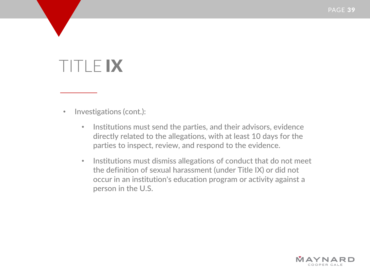- Investigations (cont.):
	- Institutions must send the parties, and their advisors, evidence directly related to the allegations, with at least 10 days for the parties to inspect, review, and respond to the evidence.
	- Institutions must dismiss allegations of conduct that do not meet the definition of sexual harassment (under Title IX) or did not occur in an institution's education program or activity against a person in the U.S.

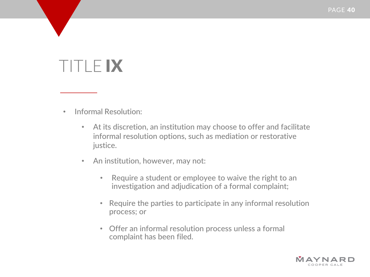- Informal Resolution:
	- At its discretion, an institution may choose to offer and facilitate informal resolution options, such as mediation or restorative justice.
	- An institution, however, may not:
		- Require a student or employee to waive the right to an investigation and adjudication of a formal complaint;
		- Require the parties to participate in any informal resolution process; or
		- Offer an informal resolution process unless a formal complaint has been filed.

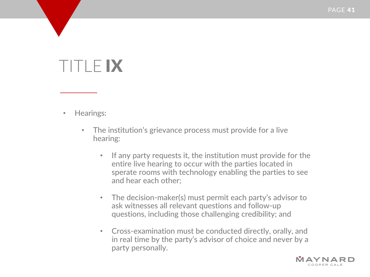- Hearings:
	- The institution's grievance process must provide for a live hearing:
		- If any party requests it, the institution must provide for the entire live hearing to occur with the parties located in sperate rooms with technology enabling the parties to see and hear each other;
		- The decision-maker(s) must permit each party's advisor to ask witnesses all relevant questions and follow-up questions, including those challenging credibility; and
		- Cross-examination must be conducted directly, orally, and in real time by the party's advisor of choice and never by a party personally.

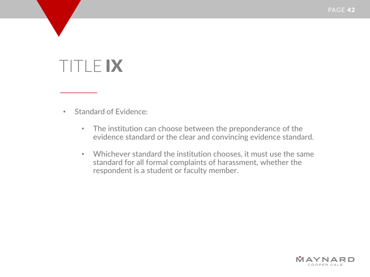- Standard of Evidence:
	- The institution can choose between the preponderance of the evidence standard or the clear and convincing evidence standard.
	- Whichever standard the institution chooses, it must use the same standard for all formal complaints of harassment, whether the respondent is a student or faculty member.

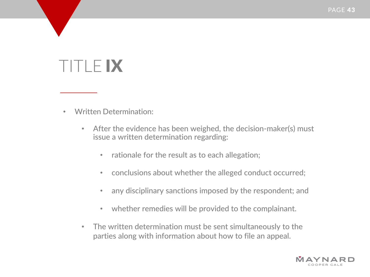- Written Determination:
	- After the evidence has been weighed, the decision-maker(s) must issue a written determination regarding:
		- rationale for the result as to each allegation;
		- conclusions about whether the alleged conduct occurred;
		- any disciplinary sanctions imposed by the respondent; and
		- whether remedies will be provided to the complainant.
	- The written determination must be sent simultaneously to the parties along with information about how to file an appeal.

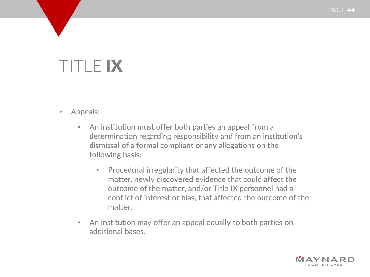- Appeals:
	- An institution must offer both parties an appeal from a determination regarding responsibility and from an institution's dismissal of a formal compliant or any allegations on the following basis:
		- Procedural irregularity that affected the outcome of the matter, newly discovered evidence that could affect the outcome of the matter, and/or Title IX personnel had a conflict of interest or bias, that affected the outcome of the matter.
	- An institution may offer an appeal equally to both parties on additional bases.

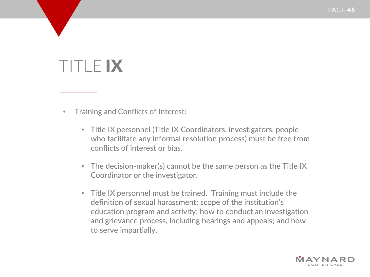- Training and Conflicts of Interest:
	- Title IX personnel (Title IX Coordinators, investigators, people who facilitate any informal resolution process) must be free from conflicts of interest or bias.
	- The decision-maker(s) cannot be the same person as the Title IX Coordinator or the investigator.
	- Title IX personnel must be trained. Training must include the definition of sexual harassment; scope of the institution's education program and activity; how to conduct an investigation and grievance process, including hearings and appeals; and how to serve impartially.

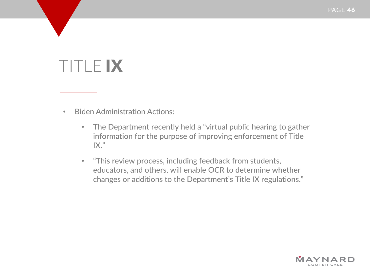- Biden Administration Actions:
	- The Department recently held a "virtual public hearing to gather information for the purpose of improving enforcement of Title  $IX."$
	- "This review process, including feedback from students, educators, and others, will enable OCR to determine whether changes or additions to the Department's Title IX regulations."